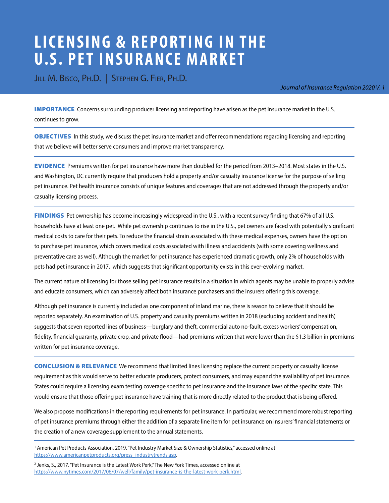# **LICENSING & REPORTING IN THE U.S. PET INSURANCE MARKET**

JILL M. BISCO, PH.D. | STEPHEN G. FIER, PH.D.

[Journal of Insurance Regulation 2020 V. 1](https://www.naic.org/prod_serv_jir.htm)

**IMPORTANCE** Concerns surrounding producer licensing and reporting have arisen as the pet insurance market in the U.S. continues to grow.

OBJECTIVES In this study, we discuss the pet insurance market and offer recommendations regarding licensing and reporting that we believe will better serve consumers and improve market transparency.

EVIDENCE Premiums written for pet insurance have more than doubled for the period from 2013–2018. Most states in the U.S. and Washington, DC currently require that producers hold a property and/or casualty insurance license for the purpose of selling pet insurance. Pet health insurance consists of unique features and coverages that are not addressed through the property and/or casualty licensing process.

FINDINGS Pet ownership has become increasingly widespread in the U.S., with a recent survey finding that 67% of all U.S. households have at least one pet. While pet ownership continues to rise in the U.S., pet owners are faced with potentially significant medical costs to care for their pets. To reduce the financial strain associated with these medical expenses, owners have the option to purchase pet insurance, which covers medical costs associated with illness and accidents (with some covering wellness and preventative care as well). Although the market for pet insurance has experienced dramatic growth, only 2% of households with pets had pet insurance in 2017, which suggests that significant opportunity exists in this ever-evolving market.

The current nature of licensing for those selling pet insurance results in a situation in which agents may be unable to properly advise and educate consumers, which can adversely affect both insurance purchasers and the insurers offering this coverage.

Although pet insurance is currently included as one component of inland marine, there is reason to believe that it should be reported separately. An examination of U.S. property and casualty premiums written in 2018 (excluding accident and health) suggests that seven reported lines of business—burglary and theft, commercial auto no-fault, excess workers' compensation, fidelity, financial guaranty, private crop, and private flood—had premiums written that were lower than the \$1.3 billion in premiums written for pet insurance coverage.

CONCLUSION & RELEVANCE We recommend that limited lines licensing replace the current property or casualty license requirement as this would serve to better educate producers, protect consumers, and may expand the availability of pet insurance. States could require a licensing exam testing coverage specific to pet insurance and the insurance laws of the specific state. This would ensure that those offering pet insurance have training that is more directly related to the product that is being offered.

We also propose modifications in the reporting requirements for pet insurance. In particular, we recommend more robust reporting of pet insurance premiums through either the addition of a separate line item for pet insurance on insurers' financial statements or the creation of a new coverage supplement to the annual statements.

<sup>1</sup> American Pet Products Association, 2019. "Pet Industry Market Size & Ownership Statistics," accessed online at [https://www.americanpetproducts.org/press\\_industrytrends.asp](https://www.americanpetproducts.org/press_industrytrends.asp).

<sup>2</sup> Jenks, S., 2017. "Pet Insurance is the Latest Work Perk," The New York Times, accessed online at [https://www.nytimes.com/2017/06/07/well/family/pet-insurance-is-the-latest-work-perk.html.](https://www.nytimes.com/2017/06/07/well/family/pet-insurance-is-the-latest-work-perk.html)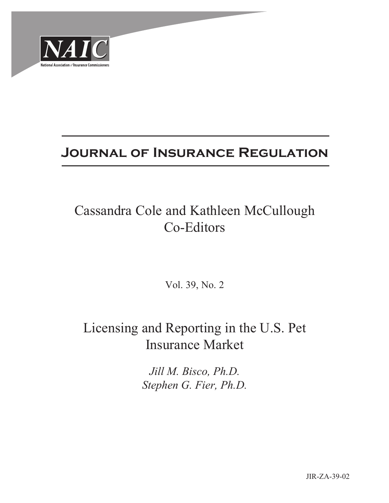

## **Journal of Insurance Regulation**

# Cassandra Cole and Kathleen McCullough Co-Editors

Vol. 39, No. 2

## Licensing and Reporting in the U.S. Pet Insurance Market

*Jill M. Bisco, Ph.D. Stephen G. Fier, Ph.D.*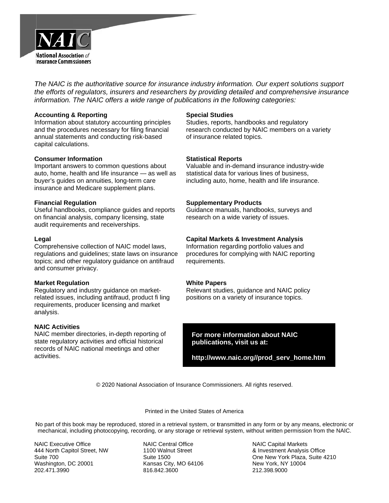

*The NAIC is the authoritative source for insurance industry information. Our expert solutions support the efforts of regulators, insurers and researchers by providing detailed and comprehensive insurance information.* The NAIC offers a wide range of publications in the following categories:

#### **A Accounting & & Reporting**

Information about statutory accounting principles and the procedures necessary for filing financial annual statements and conducting risk-based capital calculations.

#### **Consumer Information**

Important answers to common questions about auto, home, health and life insurance — as well as buyer's guides on annuities, long-term care insurance and Medicare supplement plans.

#### **F Financial Reg gulation**

Useful handbooks, compliance guides and reports on financial analysis, company licensing, state audit requirements and receiverships.

#### **L Legal**

Comprehensive collection of NAIC model laws, regulations and guidelines; state laws on insurance topics; and other regulatory guidance on antifraud a and consume r privacy.

#### **Market Regulation**

Regulatory and industry guidance on marketrelated issues, including antifraud, product fi ling requirements, producer licensing and market a analysis.

#### **N NAIC Activiti es**

NAIC member directories, in-depth reporting of state regulatory activities and official historical records of NAIC national meetings and other a activities.

#### **Special Studies**

Studies, reports, handbooks and regulatory research conducted by NAIC members on a variety of insurance related topics.

#### **Statistical Reports**

Valuable and in-demand insurance industry-wide statistical data for various lines of business, including auto, home, health and life insurance.

#### **Supplementary Products**

Guidance manuals, handbooks, surveys and research on a wide variety of issues.

#### **Capital Markets & Investment Analysis**

Information regarding portfolio values and procedures for complying with NAIC reporting requirements.

#### **White Papers**

Relevant studies, guidance and NAIC policy positions on a variety of insurance topics.

For more information about NAIC  **publicati ions, visit u s at:**

 **http://ww ww.naic.org/ //prod\_serv\_ \_home.htm**

© 2020 National Association of Insurance Commissioners. All rights reserved.

#### Printed in the United States of America

No part of this book may be reproduced, stored in a retrieval system, or transmitted in any form or by any means, electronic or mechanical, including photocopying, recording, or any storage or retrieval system, without written permission from the NAIC.

NAIC Executive Office 4 444 North Capi tol Street, NW S Suite 700 Washington, DC 20001 2 202.471.3990

NAIC Central Office 1100 Walnut Street S Suite 1500 K Kansas City, M O 64106 8 816.842.3600

N NAIC Capital M Markets & & Investment A Analysis Office O One New York Plaza, Suite 42 210 N New York, NY 10004 2 212.398.9000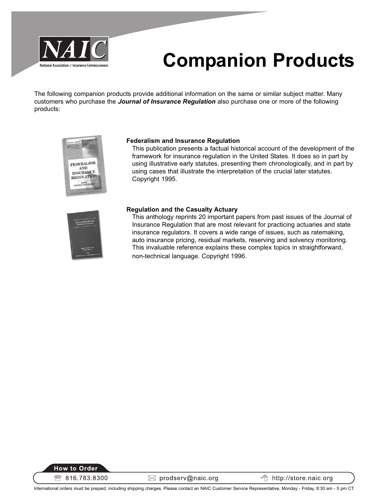

# **Companion Products**

The following companion products provide additional information on the same or similar subject matter. Many customers who purchase the **Journal of Insurance Regulation** also purchase one or more of the following products:



#### **Federalism and Insurance Regulation**

This publication presents a factual historical account of the development of the framework for insurance regulation in the United States. It does so in part by using illustrative early statutes, presenting them chronologically, and in part by using cases that illustrate the interpretation of the crucial later statutes. Copyright 1995.



#### **Regulation and the Casualty Actuary**

This anthology reprints 20 important papers from past issues of the Journal of Insurance Regulation that are most relevant for practicing actuaries and state insurance regulators. It covers a wide range of issues, such as ratemaking, auto insurance pricing, residual markets, reserving and solvency monitoring. This invaluable reference explains these complex topics in straightforward, non-technical language. Copyright 1996.



 $\boxtimes$  prodserv@naic.org

← http://store.naic.org

International orders must be prepaid, including shipping charges. Please contact an NAIC Customer Service Representative, Monday - Friday, 8:30 am - 5 pm CT.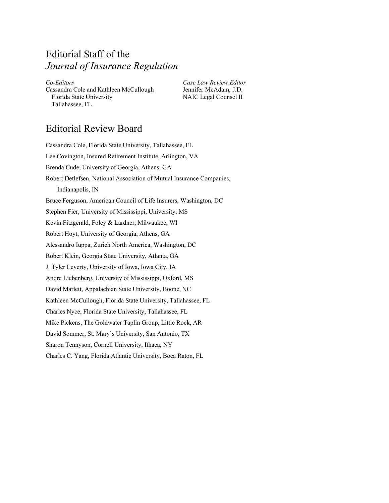## Editorial Staff of the *Journal of Insurance Regulation*

*Co-Editors Case Law Review Editor*  Cassandra Cole and Kathleen McCullough Jennifer McAdam, J.D. Florida State University NAIC Legal Counsel II Tallahassee, FL

## Editorial Review Board

Cassandra Cole, Florida State University, Tallahassee, FL Lee Covington, Insured Retirement Institute, Arlington, VA Brenda Cude, University of Georgia, Athens, GA Robert Detlefsen, National Association of Mutual Insurance Companies, Indianapolis, IN Bruce Ferguson, American Council of Life Insurers, Washington, DC Stephen Fier, University of Mississippi, University, MS Kevin Fitzgerald, Foley & Lardner, Milwaukee, WI Robert Hoyt, University of Georgia, Athens, GA Alessandro Iuppa, Zurich North America, Washington, DC Robert Klein, Georgia State University, Atlanta, GA J. Tyler Leverty, University of Iowa, Iowa City, IA Andre Liebenberg, University of Mississippi, Oxford, MS David Marlett, Appalachian State University, Boone, NC Kathleen McCullough, Florida State University, Tallahassee, FL Charles Nyce, Florida State University, Tallahassee, FL Mike Pickens, The Goldwater Taplin Group, Little Rock, AR David Sommer, St. Mary's University, San Antonio, TX Sharon Tennyson, Cornell University, Ithaca, NY Charles C. Yang, Florida Atlantic University, Boca Raton, FL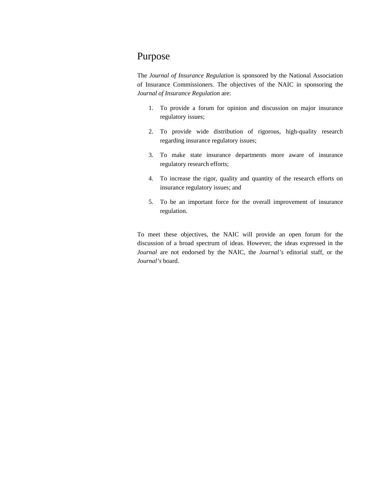### Purpose

The *Journal of Insurance Regulation* is sponsored by the National Association of Insurance Commissioners. The objectives of the NAIC in sponsoring the *Journal of Insurance Regulation* are:

- 1. To provide a forum for opinion and discussion on major insurance regulatory issues;
- 2. To provide wide distribution of rigorous, high-quality research regarding insurance regulatory issues;
- 3. To make state insurance departments more aware of insurance regulatory research efforts;
- 4. To increase the rigor, quality and quantity of the research efforts on insurance regulatory issues; and
- 5. To be an important force for the overall improvement of insurance regulation.

To meet these objectives, the NAIC will provide an open forum for the discussion of a broad spectrum of ideas. However, the ideas expressed in the *Journal* are not endorsed by the NAIC, the *Journal's* editorial staff, or the *Journal's* board.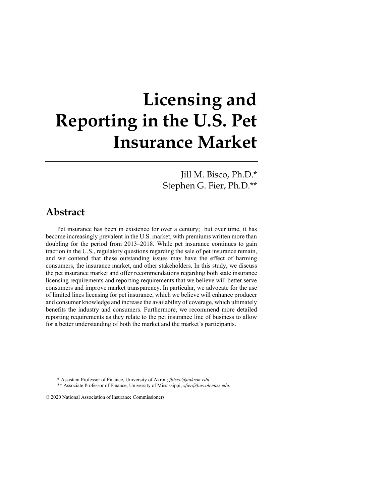# **Licensing and Reporting in the U.S. Pet Insurance Market**

Jill M. Bisco, Ph.D.\* Stephen G. Fier, Ph.D.\*\*

## **Abstract**

Pet insurance has been in existence for over a century; but over time, it has become increasingly prevalent in the U.S. market, with premiums written more than doubling for the period from 2013–2018. While pet insurance continues to gain traction in the U.S., regulatory questions regarding the sale of pet insurance remain, and we contend that these outstanding issues may have the effect of harming consumers, the insurance market, and other stakeholders. In this study, we discuss the pet insurance market and offer recommendations regarding both state insurance licensing requirements and reporting requirements that we believe will better serve consumers and improve market transparency. In particular, we advocate for the use of limited lines licensing for pet insurance, which we believe will enhance producer and consumer knowledge and increase the availability of coverage, which ultimately benefits the industry and consumers. Furthermore, we recommend more detailed reporting requirements as they relate to the pet insurance line of business to allow for a better understanding of both the market and the market's participants.

\* Assistant Professor of Finance, University of Akron; *jbisco@uakron.edu*.

\*\* Associate Professor of Finance, University of Mississippi; *sfier@bus.olemiss.edu*.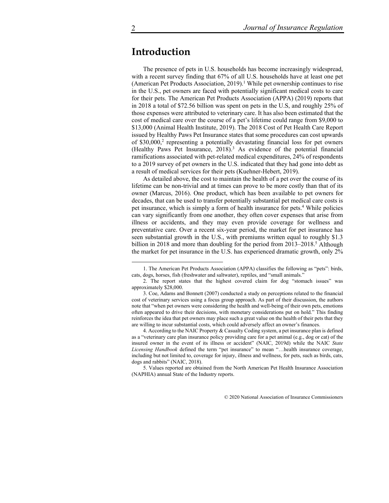## **Introduction**

The presence of pets in U.S. households has become increasingly widespread, with a recent survey finding that 67% of all U.S. households have at least one pet (American Pet Products Association, 2019).<sup>1</sup> While pet ownership continues to rise in the U.S., pet owners are faced with potentially significant medical costs to care for their pets. The American Pet Products Association (APPA) (2019) reports that in 2018 a total of \$72.56 billion was spent on pets in the U.S, and roughly 25% of those expenses were attributed to veterinary care. It has also been estimated that the cost of medical care over the course of a pet's lifetime could range from \$9,000 to \$13,000 (Animal Health Institute, 2019). The 2018 Cost of Pet Health Care Report issued by Healthy Paws Pet Insurance states that some procedures can cost upwards of  $$30,000$ <sup>2</sup> representing a potentially devastating financial loss for pet owners (Healthy Paws Pet Insurance,  $2018$ ).<sup>3</sup> As evidence of the potential financial ramifications associated with pet-related medical expenditures, 24% of respondents to a 2019 survey of pet owners in the U.S. indicated that they had gone into debt as a result of medical services for their pets (Kuehner-Hebert, 2019).

As detailed above, the cost to maintain the health of a pet over the course of its lifetime can be non-trivial and at times can prove to be more costly than that of its owner (Marcus, 2016). One product, which has been available to pet owners for decades, that can be used to transfer potentially substantial pet medical care costs is pet insurance, which is simply a form of health insurance for pets.<sup>4</sup> While policies can vary significantly from one another, they often cover expenses that arise from illness or accidents, and they may even provide coverage for wellness and preventative care. Over a recent six-year period, the market for pet insurance has seen substantial growth in the U.S., with premiums written equal to roughly \$1.3 billion in 2018 and more than doubling for the period from 2013–2018.<sup>5</sup> Although the market for pet insurance in the U.S. has experienced dramatic growth, only 2%

4. According to the NAIC Property & Casualty Coding system, a pet insurance plan is defined as a "veterinary care plan insurance policy providing care for a pet animal (e.g., dog or cat) of the insured owner in the event of its illness or accident" (NAIC, 2019d) while the NAIC *State Licensing Handbook* defined the term "pet insurance" to mean "…health insurance coverage, including but not limited to, coverage for injury, illness and wellness, for pets, such as birds, cats, dogs and rabbits" (NAIC, 2018).

5. Values reported are obtained from the North American Pet Health Insurance Association (NAPHIA) annual State of the Industry reports.

<sup>1.</sup> The American Pet Products Association (APPA) classifies the following as "pets": birds, cats, dogs, horses, fish (freshwater and saltwater), reptiles, and "small animals."

<sup>2.</sup> The report states that the highest covered claim for dog "stomach issues" was approximately \$28,000.

<sup>3.</sup> Coe, Adams and Bonnett (2007) conducted a study on perceptions related to the financial cost of veterinary services using a focus group approach. As part of their discussion, the authors note that "when pet owners were considering the health and well-being of their own pets, emotions often appeared to drive their decisions, with monetary considerations put on hold." This finding reinforces the idea that pet owners may place such a great value on the health of their pets that they are willing to incur substantial costs, which could adversely affect an owner's finances.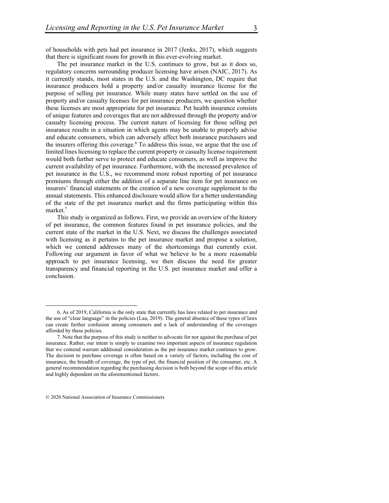of households with pets had pet insurance in 2017 (Jenks, 2017), which suggests that there is significant room for growth in this ever-evolving market.

The pet insurance market in the U.S. continues to grow, but as it does so, regulatory concerns surrounding producer licensing have arisen (NAIC, 2017). As it currently stands, most states in the U.S. and the Washington, DC require that insurance producers hold a property and/or casualty insurance license for the purpose of selling pet insurance. While many states have settled on the use of property and/or casualty licenses for pet insurance producers, we question whether these licenses are most appropriate for pet insurance. Pet health insurance consists of unique features and coverages that are not addressed through the property and/or casualty licensing process. The current nature of licensing for those selling pet insurance results in a situation in which agents may be unable to properly advise and educate consumers, which can adversely affect both insurance purchasers and the insurers offering this coverage.<sup>6</sup> To address this issue, we argue that the use of limited lines licensing to replace the current property or casualty license requirement would both further serve to protect and educate consumers, as well as improve the current availability of pet insurance. Furthermore, with the increased prevalence of pet insurance in the U.S., we recommend more robust reporting of pet insurance premiums through either the addition of a separate line item for pet insurance on insurers' financial statements or the creation of a new coverage supplement to the annual statements. This enhanced disclosure would allow for a better understanding of the state of the pet insurance market and the firms participating within this market. $^7$ 

This study is organized as follows. First, we provide an overview of the history of pet insurance, the common features found in pet insurance policies, and the current state of the market in the U.S. Next, we discuss the challenges associated with licensing as it pertains to the pet insurance market and propose a solution, which we contend addresses many of the shortcomings that currently exist. Following our argument in favor of what we believe to be a more reasonable approach to pet insurance licensing, we then discuss the need for greater transparency and financial reporting in the U.S. pet insurance market and offer a conclusion.

<sup>6.</sup> As of 2019, California is the only state that currently has laws related to pet insurance and the use of "clear language" in the policies (Lau, 2019). The general absence of these types of laws can create further confusion among consumers and a lack of understanding of the coverages afforded by these policies.

<sup>7.</sup> Note that the purpose of this study is neither to advocate for nor against the purchase of pet insurance. Rather, our intent is simply to examine two important aspects of insurance regulation that we contend warrant additional consideration as the pet insurance market continues to grow. The decision to purchase coverage is often based on a variety of factors, including the cost of insurance, the breadth of coverage, the type of pet, the financial position of the consumer, etc. A general recommendation regarding the purchasing decision is both beyond the scope of this article and highly dependent on the aforementioned factors.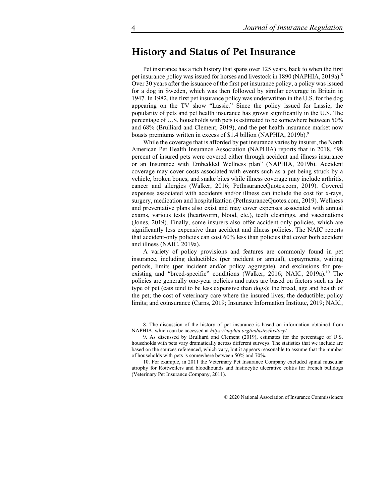## **History and Status of Pet Insurance**

Pet insurance has a rich history that spans over 125 years, back to when the first pet insurance policy was issued for horses and livestock in 1890 (NAPHIA, 2019a).<sup>8</sup> Over 30 years after the issuance of the first pet insurance policy, a policy was issued for a dog in Sweden, which was then followed by similar coverage in Britain in 1947. In 1982, the first pet insurance policy was underwritten in the U.S. for the dog appearing on the TV show "Lassie." Since the policy issued for Lassie, the popularity of pets and pet health insurance has grown significantly in the U.S. The percentage of U.S. households with pets is estimated to be somewhere between 50% and 68% (Brulliard and Clement, 2019), and the pet health insurance market now boasts premiums written in excess of \$1.4 billion (NAPHIA, 2019b).<sup>9</sup>

While the coverage that is afforded by pet insurance varies by insurer, the North American Pet Health Insurance Association (NAPHIA) reports that in 2018, "98 percent of insured pets were covered either through accident and illness insurance or an Insurance with Embedded Wellness plan" (NAPHIA, 2019b). Accident coverage may cover costs associated with events such as a pet being struck by a vehicle, broken bones, and snake bites while illness coverage may include arthritis, cancer and allergies (Walker, 2016; PetInsuranceQuotes.com, 2019). Covered expenses associated with accidents and/or illness can include the cost for x-rays, surgery, medication and hospitalization (PetInsuranceQuotes.com, 2019). Wellness and preventative plans also exist and may cover expenses associated with annual exams, various tests (heartworm, blood, etc.), teeth cleanings, and vaccinations (Jones, 2019). Finally, some insurers also offer accident-only policies, which are significantly less expensive than accident and illness policies. The NAIC reports that accident-only policies can cost 60% less than policies that cover both accident and illness (NAIC, 2019a).

A variety of policy provisions and features are commonly found in pet insurance, including deductibles (per incident or annual), copayments, waiting periods, limits (per incident and/or policy aggregate), and exclusions for preexisting and "breed-specific" conditions (Walker, 2016; NAIC, 2019a).<sup>10</sup> The policies are generally one-year policies and rates are based on factors such as the type of pet (cats tend to be less expensive than dogs); the breed, age and health of the pet; the cost of veterinary care where the insured lives; the deductible; policy limits; and coinsurance (Carns, 2019; Insurance Information Institute, 2019; NAIC,

<sup>8.</sup> The discussion of the history of pet insurance is based on information obtained from NAPHIA, which can be accessed at *https://naphia.org/industry/history/*.

<sup>9.</sup> As discussed by Brulliard and Clement (2019), estimates for the percentage of U.S. households with pets vary dramatically across different surveys. The statistics that we include are based on the sources referenced, which vary, but it appears reasonable to assume that the number of households with pets is somewhere between 50% and 70%.

<sup>10.</sup> For example, in 2011 the Veterinary Pet Insurance Company excluded spinal muscular atrophy for Rottweilers and bloodhounds and histiocytic ulcerative colitis for French bulldogs (Veterinary Pet Insurance Company, 2011).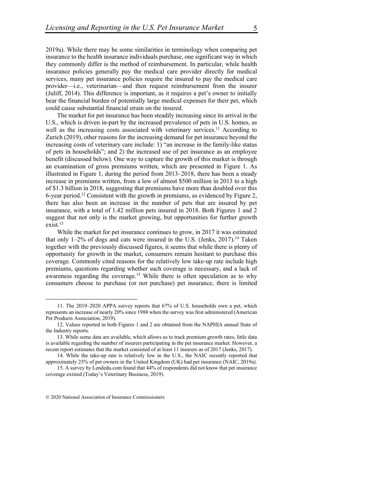2019a). While there may be some similarities in terminology when comparing pet insurance to the health insurance individuals purchase, one significant way in which they commonly differ is the method of reimbursement. In particular, while health insurance policies generally pay the medical care provider directly for medical services, many pet insurance policies require the insured to pay the medical care provider—i.e., veterinarian—and then request reimbursement from the insurer (Juliff, 2014). This difference is important, as it requires a pet's owner to initially bear the financial burden of potentially large medical expenses for their pet, which could cause substantial financial strain on the insured.

The market for pet insurance has been steadily increasing since its arrival in the U.S., which is driven in-part by the increased prevalence of pets in U.S. homes, as well as the increasing costs associated with veterinary services.<sup>11</sup> According to Zurich (2019), other reasons for the increasing demand for pet insurance beyond the increasing costs of veterinary care include: 1) "an increase in the family-like status of pets in households"; and 2) the increased use of pet insurance as an employee benefit (discussed below). One way to capture the growth of this market is through an examination of gross premiums written, which are presented in Figure 1. As illustrated in Figure 1, during the period from 2013–2018, there has been a steady increase in premiums written, from a low of almost \$500 million in 2013 to a high of \$1.3 billion in 2018, suggesting that premiums have more than doubled over this 6-year period.12 Consistent with the growth in premiums, as evidenced by Figure 2, there has also been an increase in the number of pets that are insured by pet insurance, with a total of 1.42 million pets insured in 2018. Both Figures 1 and 2 suggest that not only is the market growing, but opportunities for further growth  $exist.<sup>13</sup>$ 

While the market for pet insurance continues to grow, in 2017 it was estimated that only  $1-2\%$  of dogs and cats were insured in the U.S. (Jenks, 2017).<sup>14</sup> Taken together with the previously discussed figures, it seems that while there is plenty of opportunity for growth in the market, consumers remain hesitant to purchase this coverage. Commonly cited reasons for the relatively low take-up rate include high premiums, questions regarding whether such coverage is necessary, and a lack of awareness regarding the coverage.<sup>15</sup> While there is often speculation as to why consumers choose to purchase (or not purchase) pet insurance, there is limited

<sup>11.</sup> The 2019–2020 APPA survey reports that 67% of U.S. households own a pet, which represents an increase of nearly 20% since 1988 when the survey was first administered (American Pet Products Association, 2019).

<sup>12.</sup> Values reported in both Figures 1 and 2 are obtained from the NAPHIA annual State of the Industry reports.

<sup>13.</sup> While some data are available, which allows us to track premium growth rates, little data is available regarding the number of insurers participating in the pet insurance market. However, a recent report estimates that the market consisted of at least 11 insurers as of 2017 (Jenks, 2017).

<sup>14.</sup> While the take-up rate is relatively low in the U.S., the NAIC recently reported that approximately 25% of pet owners in the United Kingdom (UK) had pet insurance (NAIC, 2019a).

<sup>15.</sup> A survey by Lendedu.com found that 44% of respondents did not know that pet insurance coverage existed (Today's Veterinary Business, 2019).

<sup>© 2020</sup> National Association of Insurance Commissioners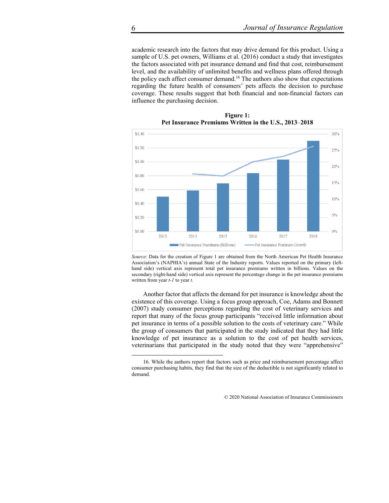academic research into the factors that may drive demand for this product. Using a sample of U.S. pet owners, Williams et al. (2016) conduct a study that investigates the factors associated with pet insurance demand and find that cost, reimbursement level, and the availability of unlimited benefits and wellness plans offered through the policy each affect consumer demand.<sup>16</sup> The authors also show that expectations regarding the future health of consumers' pets affects the decision to purchase coverage. These results suggest that both financial and non-financial factors can influence the purchasing decision.



**Figure 1: Pet Insurance Premiums Written in the U.S., 2013**–**2018** 

*Source*: Data for the creation of Figure 1 are obtained from the North American Pet Health Insurance Association's (NAPHIA's) annual State of the Industry reports. Values reported on the primary (lefthand side) vertical axis represent total pet insurance premiums written in billions. Values on the secondary (right-hand side) vertical axis represent the percentage change in the pet insurance premiums written from year *t-1* to year *t*.

Another factor that affects the demand for pet insurance is knowledge about the existence of this coverage. Using a focus group approach, Coe, Adams and Bonnett (2007) study consumer perceptions regarding the cost of veterinary services and report that many of the focus group participants "received little information about pet insurance in terms of a possible solution to the costs of veterinary care." While the group of consumers that participated in the study indicated that they had little knowledge of pet insurance as a solution to the cost of pet health services, veterinarians that participated in the study noted that they were "apprehensive"

<sup>16.</sup> While the authors report that factors such as price and reimbursement percentage affect consumer purchasing habits, they find that the size of the deductible is not significantly related to demand.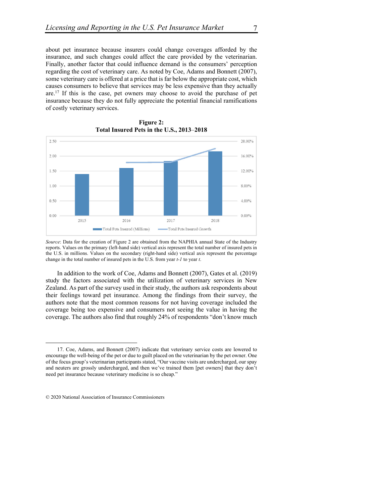about pet insurance because insurers could change coverages afforded by the insurance, and such changes could affect the care provided by the veterinarian. Finally, another factor that could influence demand is the consumers' perception regarding the cost of veterinary care. As noted by Coe, Adams and Bonnett (2007), some veterinary care is offered at a price that is far below the appropriate cost, which causes consumers to believe that services may be less expensive than they actually are.17 If this is the case, pet owners may choose to avoid the purchase of pet insurance because they do not fully appreciate the potential financial ramifications of costly veterinary services.





*Source*: Data for the creation of Figure 2 are obtained from the NAPHIA annual State of the Industry reports. Values on the primary (left-hand side) vertical axis represent the total number of insured pets in the U.S. in millions. Values on the secondary (right-hand side) vertical axis represent the percentage change in the total number of insured pets in the U.S. from year *t-1* to year *t*.

In addition to the work of Coe, Adams and Bonnett (2007), Gates et al. (2019) study the factors associated with the utilization of veterinary services in New Zealand. As part of the survey used in their study, the authors ask respondents about their feelings toward pet insurance. Among the findings from their survey, the authors note that the most common reasons for not having coverage included the coverage being too expensive and consumers not seeing the value in having the coverage. The authors also find that roughly 24% of respondents "don't know much

<sup>17.</sup> Coe, Adams, and Bonnett (2007) indicate that veterinary service costs are lowered to encourage the well-being of the pet or due to guilt placed on the veterinarian by the pet owner. One of the focus group's veterinarian participants stated, "Our vaccine visits are undercharged, our spay and neuters are grossly undercharged, and then we've trained them [pet owners] that they don't need pet insurance because veterinary medicine is so cheap."

<sup>© 2020</sup> National Association of Insurance Commissioners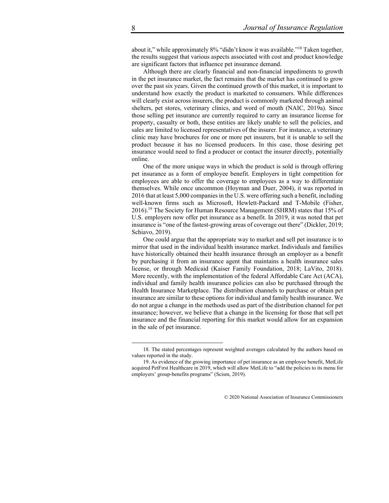about it," while approximately 8% "didn't know it was available."18 Taken together, the results suggest that various aspects associated with cost and product knowledge are significant factors that influence pet insurance demand.

Although there are clearly financial and non-financial impediments to growth in the pet insurance market, the fact remains that the market has continued to grow over the past six years. Given the continued growth of this market, it is important to understand how exactly the product is marketed to consumers. While differences will clearly exist across insurers, the product is commonly marketed through animal shelters, pet stores, veterinary clinics, and word of mouth (NAIC, 2019a). Since those selling pet insurance are currently required to carry an insurance license for property, casualty or both, these entities are likely unable to sell the policies, and sales are limited to licensed representatives of the insurer. For instance, a veterinary clinic may have brochures for one or more pet insurers, but it is unable to sell the product because it has no licensed producers. In this case, those desiring pet insurance would need to find a producer or contact the insurer directly, potentially online.

One of the more unique ways in which the product is sold is through offering pet insurance as a form of employee benefit. Employers in tight competition for employees are able to offer the coverage to employees as a way to differentiate themselves. While once uncommon (Hoyman and Duer, 2004), it was reported in 2016 that at least 5,000 companies in the U.S. were offering such a benefit, including well-known firms such as Microsoft, Hewlett-Packard and T-Mobile (Fisher, 2016).19 The Society for Human Resource Management (SHRM) states that 15% of U.S. employers now offer pet insurance as a benefit. In 2019, it was noted that pet insurance is "one of the fastest-growing areas of coverage out there" (Dickler, 2019; Schiavo, 2019).

One could argue that the appropriate way to market and sell pet insurance is to mirror that used in the individual health insurance market. Individuals and families have historically obtained their health insurance through an employer as a benefit by purchasing it from an insurance agent that maintains a health insurance sales license, or through Medicaid (Kaiser Family Foundation, 2018; LaVito, 2018). More recently, with the implementation of the federal Affordable Care Act (ACA), individual and family health insurance policies can also be purchased through the Health Insurance Marketplace. The distribution channels to purchase or obtain pet insurance are similar to these options for individual and family health insurance. We do not argue a change in the methods used as part of the distribution channel for pet insurance; however, we believe that a change in the licensing for those that sell pet insurance and the financial reporting for this market would allow for an expansion in the sale of pet insurance.

<sup>18.</sup> The stated percentages represent weighted averages calculated by the authors based on values reported in the study.

<sup>19.</sup> As evidence of the growing importance of pet insurance as an employee benefit, MetLife acquired PetFirst Healthcare in 2019, which will allow MetLife to "add the policies to its menu for employers' group-benefits programs" (Scism, 2019).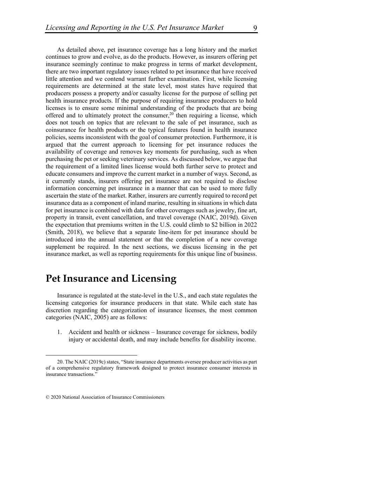As detailed above, pet insurance coverage has a long history and the market continues to grow and evolve, as do the products. However, as insurers offering pet insurance seemingly continue to make progress in terms of market development, there are two important regulatory issues related to pet insurance that have received little attention and we contend warrant further examination. First, while licensing requirements are determined at the state level, most states have required that producers possess a property and/or casualty license for the purpose of selling pet health insurance products. If the purpose of requiring insurance producers to hold licenses is to ensure some minimal understanding of the products that are being offered and to ultimately protect the consumer,<sup>20</sup> then requiring a license, which does not touch on topics that are relevant to the sale of pet insurance, such as coinsurance for health products or the typical features found in health insurance policies, seems inconsistent with the goal of consumer protection. Furthermore, it is argued that the current approach to licensing for pet insurance reduces the availability of coverage and removes key moments for purchasing, such as when purchasing the pet or seeking veterinary services. As discussed below, we argue that the requirement of a limited lines license would both further serve to protect and educate consumers and improve the current market in a number of ways. Second, as it currently stands, insurers offering pet insurance are not required to disclose information concerning pet insurance in a manner that can be used to more fully ascertain the state of the market. Rather, insurers are currently required to record pet insurance data as a component of inland marine, resulting in situations in which data for pet insurance is combined with data for other coverages such as jewelry, fine art, property in transit, event cancellation, and travel coverage (NAIC, 2019d). Given the expectation that premiums written in the U.S. could climb to \$2 billion in 2022 (Smith, 2018), we believe that a separate line-item for pet insurance should be introduced into the annual statement or that the completion of a new coverage supplement be required. In the next sections, we discuss licensing in the pet insurance market, as well as reporting requirements for this unique line of business.

## **Pet Insurance and Licensing**

Insurance is regulated at the state-level in the U.S., and each state regulates the licensing categories for insurance producers in that state. While each state has discretion regarding the categorization of insurance licenses, the most common categories (NAIC, 2005) are as follows:

1. Accident and health or sickness – Insurance coverage for sickness, bodily injury or accidental death, and may include benefits for disability income.

<sup>20.</sup> The NAIC (2019c) states, "State insurance departments oversee producer activities as part of a comprehensive regulatory framework designed to protect insurance consumer interests in insurance transactions."

<sup>© 2020</sup> National Association of Insurance Commissioners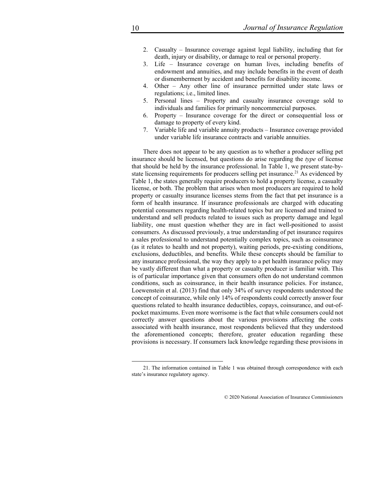- 2. Casualty Insurance coverage against legal liability, including that for death, injury or disability, or damage to real or personal property.
- 3. Life Insurance coverage on human lives, including benefits of endowment and annuities, and may include benefits in the event of death or dismemberment by accident and benefits for disability income.
- 4. Other Any other line of insurance permitted under state laws or regulations; i.e., limited lines.
- 5. Personal lines Property and casualty insurance coverage sold to individuals and families for primarily noncommercial purposes.
- 6. Property Insurance coverage for the direct or consequential loss or damage to property of every kind.
- 7. Variable life and variable annuity products Insurance coverage provided under variable life insurance contracts and variable annuities.

There does not appear to be any question as to whether a producer selling pet insurance should be licensed, but questions do arise regarding the *type* of license that should be held by the insurance professional. In Table 1, we present state-bystate licensing requirements for producers selling pet insurance.<sup>21</sup> As evidenced by Table 1, the states generally require producers to hold a property license, a casualty license, or both. The problem that arises when most producers are required to hold property or casualty insurance licenses stems from the fact that pet insurance is a form of health insurance. If insurance professionals are charged with educating potential consumers regarding health-related topics but are licensed and trained to understand and sell products related to issues such as property damage and legal liability, one must question whether they are in fact well-positioned to assist consumers. As discussed previously, a true understanding of pet insurance requires a sales professional to understand potentially complex topics, such as coinsurance (as it relates to health and not property), waiting periods, pre-existing conditions, exclusions, deductibles, and benefits. While these concepts should be familiar to any insurance professional, the way they apply to a pet health insurance policy may be vastly different than what a property or casualty producer is familiar with. This is of particular importance given that consumers often do not understand common conditions, such as coinsurance, in their health insurance policies. For instance, Loewenstein et al. (2013) find that only 34% of survey respondents understood the concept of coinsurance, while only 14% of respondents could correctly answer four questions related to health insurance deductibles, copays, coinsurance, and out-ofpocket maximums. Even more worrisome is the fact that while consumers could not correctly answer questions about the various provisions affecting the costs associated with health insurance, most respondents believed that they understood the aforementioned concepts; therefore, greater education regarding these provisions is necessary. If consumers lack knowledge regarding these provisions in

<sup>21.</sup> The information contained in Table 1 was obtained through correspondence with each state's insurance regulatory agency.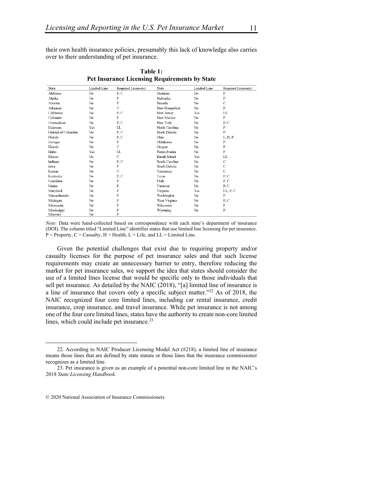their own health insurance policies, presumably this lack of knowledge also carries over to their understanding of pet insurance.

| State                | Limited Line | Required License(s) | State          | Limited Line   | Required License(s) |
|----------------------|--------------|---------------------|----------------|----------------|---------------------|
| Alabama              | No           | P, C                | Montana        | No             | $\bf P$             |
| Alaska               | No           | P                   | Nebraska       | No             | P                   |
| Arizona              | No           | P                   | Nevada         | No             | C                   |
| Arkansas             | No           | $\mathcal{C}$       | New Hampshire  | No             | P                   |
| California           | No           | P, C                | New Jersey     | Yes            | LL.                 |
| Colorado             | No           | $\mathbf{P}$        | New Mexico     | No             | $\mathbf{P}$        |
| Connecticut          | No           | P, C                | New York       | No             | P, C                |
| Delaware             | Yes          | LL.                 | North Carolina | No             | ${\bf P}$           |
| District of Columbia | No           | P, C                | North Dakota   | No             | P                   |
| Florida              | No           | P.C                 | Ohio           | N <sub>0</sub> | L, H, P             |
| Georgia              | No           | $\, {\bf P}$        | Oklahoma       | No             | P                   |
| Hawaii               | No           | $\mathbf C$         | Oregon         | No             | $\mathbf P$         |
| Idaho                | Yes          | LL                  | Pennsylvania   | No             | P                   |
| Illinois             | No           | $\mathcal{C}$       | Rhode Island   | Yes            | LL                  |
| Indiana              | No           | P.C                 | South Carolina | No             | $\mathcal{C}$       |
| lowa                 | No           | P                   | South Dakota   | No             | $\mathbf C$         |
| Kansas               | No           | $\mathbf C$         | Tennessee      | No             | $\mathbf C$         |
| Kentucky             | No           | P, C                | Texas          | No             | P, C                |
| Louisiana            | No           | $\mathbf{P}$        | Utah           | No             | P, C                |
| Maine                | No           | P                   | Vermont        | No.            | P, C                |
| Maryland             | No           | P                   | Virginia       | <b>Yes</b>     | LL, P, C            |
| Massachusetts        | No           | P                   | Washington     | N <sub>0</sub> | P                   |
| Michigan             | No           | P                   | West Virginia  | No             | P, C                |
| Minnesota            | No           | P                   | Wisconsin      | No             | P                   |
| Mississippi          | No           | P                   | Wyoming        | No             | P                   |
| Missouri             | No           | P                   |                |                |                     |

**Table 1: Pet Insurance Licensing Requirements by State** 

*Note*: Data were hand-collected based on correspondence with each state's department of insurance (DOI). The column titled "Limited Line" identifies states that use limited line licensing for pet insurance.  $P = Property, C = Casuality, H = Health, L = Life, and LL = Limited Line.$ 

Given the potential challenges that exist due to requiring property and/or casualty licenses for the purpose of pet insurance sales and that such license requirements may create an unnecessary barrier to entry, therefore reducing the market for pet insurance sales, we support the idea that states should consider the use of a limited lines license that would be specific only to those individuals that sell pet insurance. As detailed by the NAIC (2018), "[a] limited line of insurance is a line of insurance that covers only a specific subject matter."22 As of 2018, the NAIC recognized four core limited lines, including car rental insurance, credit insurance, crop insurance, and travel insurance. While pet insurance is not among one of the four core limited lines, states have the authority to create non-core limited lines, which could include pet insurance.<sup>23</sup>

<sup>22.</sup> According to NAIC Producer Licensing Model Act (#218), a limited line of insurance means those lines that are defined by state statute or those lines that the insurance commissioner recognizes as a limited line.

<sup>23.</sup> Pet insurance is given as an example of a potential non-core limited line in the NAIC's 2018 *State Licensing Handbook*.

<sup>© 2020</sup> National Association of Insurance Commissioners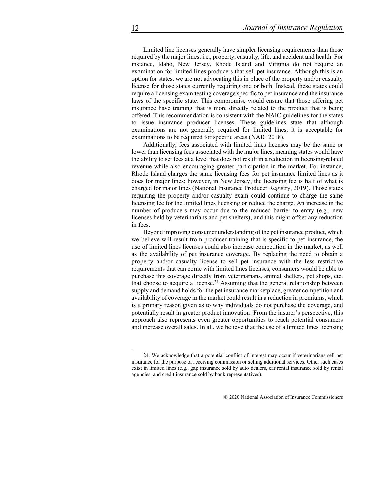Limited line licenses generally have simpler licensing requirements than those required by the major lines; i.e., property, casualty, life, and accident and health. For instance, Idaho, New Jersey, Rhode Island and Virginia do not require an examination for limited lines producers that sell pet insurance. Although this is an option for states, we are not advocating this in place of the property and/or casualty license for those states currently requiring one or both. Instead, these states could require a licensing exam testing coverage specific to pet insurance and the insurance laws of the specific state. This compromise would ensure that those offering pet insurance have training that is more directly related to the product that is being offered. This recommendation is consistent with the NAIC guidelines for the states to issue insurance producer licenses. These guidelines state that although examinations are not generally required for limited lines, it is acceptable for examinations to be required for specific areas (NAIC 2018).

Additionally, fees associated with limited lines licenses may be the same or lower than licensing fees associated with the major lines, meaning states would have the ability to set fees at a level that does not result in a reduction in licensing-related revenue while also encouraging greater participation in the market. For instance, Rhode Island charges the same licensing fees for pet insurance limited lines as it does for major lines; however, in New Jersey, the licensing fee is half of what is charged for major lines (National Insurance Producer Registry, 2019). Those states requiring the property and/or casualty exam could continue to charge the same licensing fee for the limited lines licensing or reduce the charge. An increase in the number of producers may occur due to the reduced barrier to entry (e.g., new licenses held by veterinarians and pet shelters), and this might offset any reduction in fees.

Beyond improving consumer understanding of the pet insurance product, which we believe will result from producer training that is specific to pet insurance, the use of limited lines licenses could also increase competition in the market, as well as the availability of pet insurance coverage. By replacing the need to obtain a property and/or casualty license to sell pet insurance with the less restrictive requirements that can come with limited lines licenses, consumers would be able to purchase this coverage directly from veterinarians, animal shelters, pet shops, etc. that choose to acquire a license.<sup>24</sup> Assuming that the general relationship between supply and demand holds for the pet insurance marketplace, greater competition and availability of coverage in the market could result in a reduction in premiums, which is a primary reason given as to why individuals do not purchase the coverage, and potentially result in greater product innovation. From the insurer's perspective, this approach also represents even greater opportunities to reach potential consumers and increase overall sales. In all, we believe that the use of a limited lines licensing

<sup>24.</sup> We acknowledge that a potential conflict of interest may occur if veterinarians sell pet insurance for the purpose of receiving commission or selling additional services. Other such cases exist in limited lines (e.g., gap insurance sold by auto dealers, car rental insurance sold by rental agencies, and credit insurance sold by bank representatives).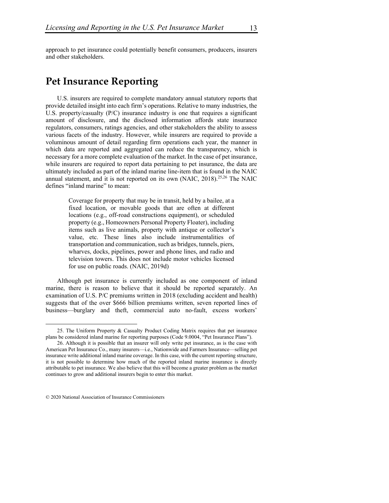approach to pet insurance could potentially benefit consumers, producers, insurers and other stakeholders.

## **Pet Insurance Reporting**

U.S. insurers are required to complete mandatory annual statutory reports that provide detailed insight into each firm's operations. Relative to many industries, the U.S. property/casualty (P/C) insurance industry is one that requires a significant amount of disclosure, and the disclosed information affords state insurance regulators, consumers, ratings agencies, and other stakeholders the ability to assess various facets of the industry. However, while insurers are required to provide a voluminous amount of detail regarding firm operations each year, the manner in which data are reported and aggregated can reduce the transparency, which is necessary for a more complete evaluation of the market. In the case of pet insurance, while insurers are required to report data pertaining to pet insurance, the data are ultimately included as part of the inland marine line-item that is found in the NAIC annual statement, and it is not reported on its own (NAIC, 2018).25,26 The NAIC defines "inland marine" to mean:

> Coverage for property that may be in transit, held by a bailee, at a fixed location, or movable goods that are often at different locations (e.g., off-road constructions equipment), or scheduled property (e.g., Homeowners Personal Property Floater), including items such as live animals, property with antique or collector's value, etc. These lines also include instrumentalities of transportation and communication, such as bridges, tunnels, piers, wharves, docks, pipelines, power and phone lines, and radio and television towers. This does not include motor vehicles licensed for use on public roads. (NAIC, 2019d)

Although pet insurance is currently included as one component of inland marine, there is reason to believe that it should be reported separately. An examination of U.S. P/C premiums written in 2018 (excluding accident and health) suggests that of the over \$666 billion premiums written, seven reported lines of business—burglary and theft, commercial auto no-fault, excess workers'

<sup>25.</sup> The Uniform Property & Casualty Product Coding Matrix requires that pet insurance plans be considered inland marine for reporting purposes (Code 9.0004, "Pet Insurance Plans").

<sup>26.</sup> Although it is possible that an insurer will only write pet insurance, as is the case with American Pet Insurance Co., many insurers—i.e., Nationwide and Farmers Insurance—selling pet insurance write additional inland marine coverage. In this case, with the current reporting structure, it is not possible to determine how much of the reported inland marine insurance is directly attributable to pet insurance. We also believe that this will become a greater problem as the market continues to grow and additional insurers begin to enter this market.

<sup>© 2020</sup> National Association of Insurance Commissioners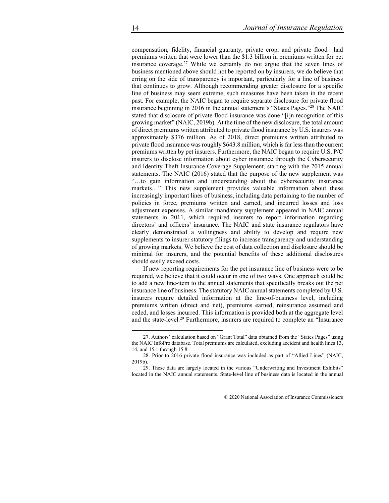compensation, fidelity, financial guaranty, private crop, and private flood—had premiums written that were lower than the \$1.3 billion in premiums written for pet insurance coverage.27 While we certainly do not argue that the seven lines of business mentioned above should not be reported on by insurers, we do believe that erring on the side of transparency is important, particularly for a line of business that continues to grow. Although recommending greater disclosure for a specific line of business may seem extreme, such measures have been taken in the recent past. For example, the NAIC began to require separate disclosure for private flood insurance beginning in 2016 in the annual statement's "States Pages."28 The NAIC stated that disclosure of private flood insurance was done "[i]n recognition of this growing market" (NAIC, 2019b). At the time of the new disclosure, the total amount of direct premiums written attributed to private flood insurance by U.S. insurers was approximately \$376 million. As of 2018, direct premiums written attributed to private flood insurance was roughly \$643.8 million, which is far less than the current premiums written by pet insurers. Furthermore, the NAIC began to require U.S. P/C insurers to disclose information about cyber insurance through the Cybersecurity and Identity Theft Insurance Coverage Supplement, starting with the 2015 annual statements. The NAIC (2016) stated that the purpose of the new supplement was "…to gain information and understanding about the cybersecurity insurance markets…" This new supplement provides valuable information about these increasingly important lines of business, including data pertaining to the number of policies in force, premiums written and earned, and incurred losses and loss adjustment expenses. A similar mandatory supplement appeared in NAIC annual statements in 2011, which required insurers to report information regarding directors' and officers' insurance. The NAIC and state insurance regulators have clearly demonstrated a willingness and ability to develop and require new supplements to insurer statutory filings to increase transparency and understanding of growing markets. We believe the cost of data collection and disclosure should be minimal for insurers, and the potential benefits of these additional disclosures should easily exceed costs.

If new reporting requirements for the pet insurance line of business were to be required, we believe that it could occur in one of two ways. One approach could be to add a new line-item to the annual statements that specifically breaks out the pet insurance line of business. The statutory NAIC annual statements completed by U.S. insurers require detailed information at the line-of-business level, including premiums written (direct and net), premiums earned, reinsurance assumed and ceded, and losses incurred. This information is provided both at the aggregate level and the state-level.<sup>29</sup> Furthermore, insurers are required to complete an "Insurance

<sup>27.</sup> Authors' calculation based on "Grant Total" data obtained from the "States Pages" using the NAIC InfoPro database. Total premiums are calculated, excluding accident and health lines 13, 14, and 15.1 through 15.8.

<sup>28.</sup> Prior to 2016 private flood insurance was included as part of "Allied Lines" (NAIC, 2019b).

<sup>29.</sup> These data are largely located in the various "Underwriting and Investment Exhibits" located in the NAIC annual statements. State-level line of business data is located in the annual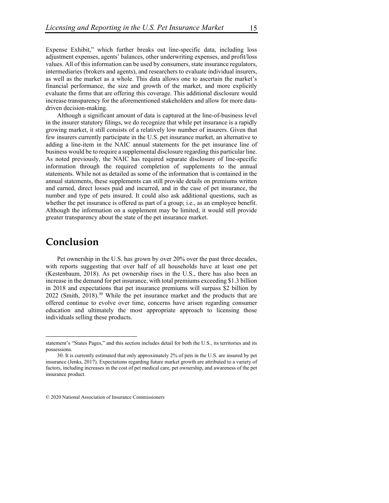15

Expense Exhibit," which further breaks out line-specific data, including loss adjustment expenses, agents' balances, other underwriting expenses, and profit/loss values. All of this information can be used by consumers, state insurance regulators, intermediaries (brokers and agents), and researchers to evaluate individual insurers, as well as the market as a whole. This data allows one to ascertain the market's financial performance, the size and growth of the market, and more explicitly evaluate the firms that are offering this coverage. This additional disclosure would increase transparency for the aforementioned stakeholders and allow for more datadriven decision-making.

Although a significant amount of data is captured at the line-of-business level in the insurer statutory filings, we do recognize that while pet insurance is a rapidly growing market, it still consists of a relatively low number of insurers. Given that few insurers currently participate in the U.S. pet insurance market, an alternative to adding a line-item in the NAIC annual statements for the pet insurance line of business would be to require a supplemental disclosure regarding this particular line. As noted previously, the NAIC has required separate disclosure of line-specific information through the required completion of supplements to the annual statements. While not as detailed as some of the information that is contained in the annual statements, these supplements can still provide details on premiums written and earned, direct losses paid and incurred, and in the case of pet insurance, the number and type of pets insured. It could also ask additional questions, such as whether the pet insurance is offered as part of a group; i.e., as an employee benefit. Although the information on a supplement may be limited, it would still provide greater transparency about the state of the pet insurance market.

## **Conclusion**

Pet ownership in the U.S. has grown by over 20% over the past three decades, with reports suggesting that over half of all households have at least one pet (Kestenbaum, 2018). As pet ownership rises in the U.S., there has also been an increase in the demand for pet insurance, with total premiums exceeding \$1.3 billion in 2018 and expectations that pet insurance premiums will surpass \$2 billion by  $2022$  (Smith,  $2018$ ).<sup>30</sup> While the pet insurance market and the products that are offered continue to evolve over time, concerns have arisen regarding consumer education and ultimately the most appropriate approach to licensing those individuals selling these products.

statement's "States Pages," and this section includes detail for both the U.S., its territories and its possessions.

<sup>30.</sup> It is currently estimated that only approximately 2% of pets in the U.S. are insured by pet insurance (Jenks, 2017). Expectations regarding future market growth are attributed to a variety of factors, including increases in the cost of pet medical care, pet ownership, and awareness of the pet insurance product.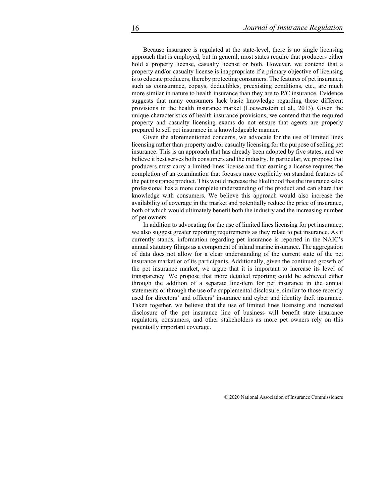Because insurance is regulated at the state-level, there is no single licensing approach that is employed, but in general, most states require that producers either hold a property license, casualty license or both. However, we contend that a property and/or casualty license is inappropriate if a primary objective of licensing is to educate producers, thereby protecting consumers. The features of pet insurance, such as coinsurance, copays, deductibles, preexisting conditions, etc., are much more similar in nature to health insurance than they are to P/C insurance. Evidence suggests that many consumers lack basic knowledge regarding these different provisions in the health insurance market (Loewenstein et al., 2013). Given the unique characteristics of health insurance provisions, we contend that the required property and casualty licensing exams do not ensure that agents are properly prepared to sell pet insurance in a knowledgeable manner.

Given the aforementioned concerns, we advocate for the use of limited lines licensing rather than property and/or casualty licensing for the purpose of selling pet insurance. This is an approach that has already been adopted by five states, and we believe it best serves both consumers and the industry. In particular, we propose that producers must carry a limited lines license and that earning a license requires the completion of an examination that focuses more explicitly on standard features of the pet insurance product. This would increase the likelihood that the insurance sales professional has a more complete understanding of the product and can share that knowledge with consumers. We believe this approach would also increase the availability of coverage in the market and potentially reduce the price of insurance, both of which would ultimately benefit both the industry and the increasing number of pet owners.

In addition to advocating for the use of limited lines licensing for pet insurance, we also suggest greater reporting requirements as they relate to pet insurance. As it currently stands, information regarding pet insurance is reported in the NAIC's annual statutory filings as a component of inland marine insurance. The aggregation of data does not allow for a clear understanding of the current state of the pet insurance market or of its participants. Additionally, given the continued growth of the pet insurance market, we argue that it is important to increase its level of transparency. We propose that more detailed reporting could be achieved either through the addition of a separate line-item for pet insurance in the annual statements or through the use of a supplemental disclosure, similar to those recently used for directors' and officers' insurance and cyber and identity theft insurance. Taken together, we believe that the use of limited lines licensing and increased disclosure of the pet insurance line of business will benefit state insurance regulators, consumers, and other stakeholders as more pet owners rely on this potentially important coverage.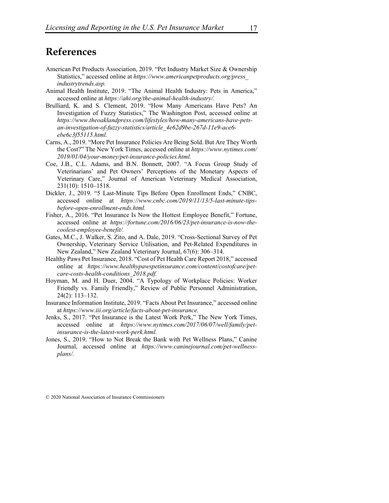## **References**

- American Pet Products Association, 2019. "Pet Industry Market Size & Ownership Statistics," accessed online at *https://www.americanpetproducts.org/press\_ industrytrends.asp.*
- Animal Health Institute, 2019. "The Animal Health Industry: Pets in America," accessed online at *https://ahi.org/the-animal-health-industry/.*
- Brulliard, K. and S. Clement, 2019. "How Many Americans Have Pets? An Investigation of Fuzzy Statistics," The Washington Post, accessed online at *https://www.theoaklandpress.com/lifestyles/how-many-americans-have-petsan-investigation-of-fuzzy-statistics/article\_4e62d9be-267d-11e9-ace6 ebe6c3f55115.html.*
- Carns, A., 2019. "More Pet Insurance Policies Are Being Sold. But Are They Worth the Cost?" The New York Times, accessed online at *https://www.nytimes.com/ 2019/01/04/your-money/pet-insurance-policies.html.*
- Coe, J.B., C.L. Adams, and B.N. Bonnett, 2007. "A Focus Group Study of Veterinarians' and Pet Owners' Perceptions of the Monetary Aspects of Veterinary Care," Journal of American Veterinary Medical Association, 231(10): 1510–1518.
- Dickler, J., 2019. "5 Last-Minute Tips Before Open Enrollment Ends," CNBC, accessed online at *https://www.cnbc.com/2019/11/13/5-last-minute-tipsbefore-open-enrollment-ends.html.*
- Fisher, A., 2016. "Pet Insurance Is Now the Hottest Employee Benefit," Fortune, accessed online at *https://fortune.com/2016/06/23/pet-insurance-is-now-thecoolest-employee-benefit/.*
- Gates, M.C., J. Walker, S. Zito, and A. Dale, 2019. "Cross-Sectional Survey of Pet Ownership, Veterinary Service Utilisation, and Pet-Related Expenditures in New Zealand," New Zealand Veterinary Journal, 67(6): 306–314.
- Healthy Paws Pet Insurance, 2018. "Cost of Pet Health Care Report 2018," accessed online at *https://www.healthypawspetinsurance.com/content/costofcare/petcare-costs-health-conditions\_2018.pdf.*
- Hoyman, M. and H. Duer, 2004. "A Typology of Workplace Policies: Worker Friendly vs. Family Friendly," Review of Public Personnel Administration, 24(2): 113–132.
- Insurance Information Institute, 2019. "Facts About Pet Insurance," accessed online at *https://www.iii.org/article/facts-about-pet-insurance.*
- Jenks, S., 2017. "Pet Insurance is the Latest Work Perk," The New York Times, accessed online at *https://www.nytimes.com/2017/06/07/well/family/petinsurance-is-the-latest-work-perk.html.*
- Jones, S., 2019. "How to Not Break the Bank with Pet Wellness Plans," Canine Journal, accessed online at *https://www.caninejournal.com/pet-wellnessplans/.*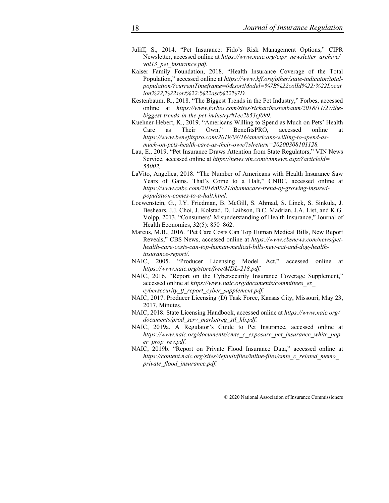- Juliff, S., 2014. "Pet Insurance: Fido's Risk Management Options," CIPR Newsletter, accessed online at *https://www.naic.org/cipr\_newsletter\_archive/ vol13\_pet\_insurance.pdf.*
- Kaiser Family Foundation, 2018. "Health Insurance Coverage of the Total Population," accessed online at *https://www.kff.org/other/state-indicator/totalpopulation/?currentTimeframe=0&sortModel=%7B%22colId%22:%22Locat ion%22,%22sort%22:%22asc%22%7D.*
- Kestenbaum, R., 2018. "The Biggest Trends in the Pet Industry," Forbes, accessed online at *https://www.forbes.com/sites/richardkestenbaum/2018/11/27/thebiggest-trends-in-the-pet-industry/#1ec2b53cf099.*
- Kuehner-Hebert, K., 2019. "Americans Willing to Spend as Much on Pets' Health Care as Their Own," BenefitsPRO, accessed online at *https://www.benefitspro.com/2019/08/16/americans-willing-to-spend-asmuch-on-pets-health-care-as-their-own/?slreturn=20200308101128.*
- Lau, E., 2019. "Pet Insurance Draws Attention from State Regulators," VIN News Service, accessed online at *https://news.vin.com/vinnews.aspx?articleId= 55002.*
- LaVito, Angelica, 2018. "The Number of Americans with Health Insurance Saw Years of Gains. That's Come to a Halt," CNBC, accessed online at *https://www.cnbc.com/2018/05/21/obamacare-trend-of-growing-insuredpopulation-comes-to-a-halt.html.*
- Loewenstein, G., J.Y. Friedman, B. McGill, S. Ahmad, S. Linck, S. Sinkula, J. Beshears, J.J. Choi, J. Kolstad, D. Laibson, B.C. Madrian, J.A. List, and K.G. Volpp, 2013. "Consumers' Misunderstanding of Health Insurance," Journal of Health Economics, 32(5): 850–862.
- Marcus, M.B., 2016. "Pet Care Costs Can Top Human Medical Bills, New Report Reveals," CBS News, accessed online at *https://www.cbsnews.com/news/pethealth-care-costs-can-top-human-medical-bills-new-cat-and-dog-healthinsurance-report/.*
- NAIC, 2005. "Producer Licensing Model Act," accessed online at *https://www.naic.org/store/free/MDL-218.pdf.*
- NAIC, 2016. "Report on the Cybersecurity Insurance Coverage Supplement," accessed online at *https://www.naic.org/documents/committees\_ex\_ cybersecurity\_tf\_report\_cyber\_supplement.pdf.*
- NAIC, 2017. Producer Licensing (D) Task Force, Kansas City, Missouri, May 23, 2017, Minutes.
- NAIC, 2018. State Licensing Handbook, accessed online at *https://www.naic.org/ documents/prod\_serv\_marketreg\_stl\_hb.pdf.*
- NAIC, 2019a. A Regulator's Guide to Pet Insurance, accessed online at *https://www.naic.org/documents/cmte\_c\_exposure\_pet\_insurance\_white\_pap er\_prop\_rev.pdf.*
- NAIC, 2019b. "Report on Private Flood Insurance Data," accessed online at *https://content.naic.org/sites/default/files/inline-files/cmte\_c\_related\_memo\_ private\_flood\_insurance.pdf.*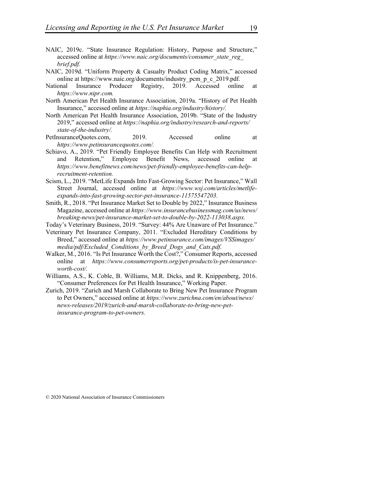- NAIC, 2019c. "State Insurance Regulation: History, Purpose and Structure," accessed online at *https://www.naic.org/documents/consumer\_state\_reg\_ brief.pdf.*
- NAIC, 2019d. "Uniform Property & Casualty Product Coding Matrix," accessed online at https://www.naic.org/documents/industry pcm p c 2019.pdf.
- National Insurance Producer Registry, 2019. Accessed online at *https://www.nipr.com.*
- North American Pet Health Insurance Association, 2019a. "History of Pet Health Insurance," accessed online at *https://naphia.org/industry/history/.*
- North American Pet Health Insurance Association, 2019b. "State of the Industry 2019," accessed online at *https://naphia.org/industry/research-and-reports/ state-of-the-industry/.*
- PetInsuranceQuotes.com, 2019. Accessed online at *https://www.petinsurancequotes.com/.*
- Schiavo, A., 2019. "Pet Friendly Employee Benefits Can Help with Recruitment and Retention," Employee Benefit News, accessed online at *https://www.benefitnews.com/news/pet-friendly-employee-benefits-can-helprecruitment-retention.*
- Scism, L., 2019. "MetLife Expands Into Fast-Growing Sector: Pet Insurance," Wall Street Journal, accessed online at *https://www.wsj.com/articles/metlifeexpands-into-fast-growing-sector-pet-insurance-11575547203.*
- Smith, R., 2018. "Pet Insurance Market Set to Double by 2022," Insurance Business Magazine, accessed online at *https://www.insurancebusinessmag.com/us/news/ breaking-news/pet-insurance-market-set-to-double-by-2022-113038.aspx.*
- Today's Veterinary Business, 2019. "Survey: 44% Are Unaware of Pet Insurance."
- Veterinary Pet Insurance Company, 2011. "Excluded Hereditary Conditions by Breed," accessed online at *https://www.petinsurance.com/images/VSSimages/ media/pdf/Excluded\_Conditions\_by\_Breed\_Dogs\_and\_Cats.pdf.*
- Walker, M., 2016. "Is Pet Insurance Worth the Cost?," Consumer Reports, accessed online at *https://www.consumerreports.org/pet-products/is-pet-insuranceworth-cost/.*
- Williams, A.S., K. Coble, B. Williams, M.R. Dicks, and R. Knippenberg, 2016. "Consumer Preferences for Pet Health Insurance," Working Paper.
- Zurich, 2019. "Zurich and Marsh Collaborate to Bring New Pet Insurance Program to Pet Owners," accessed online at *https://www.zurichna.com/en/about/news/ news-releases/2019/zurich-and-marsh-collaborate-to-bring-new-petinsurance-program-to-pet-owners.*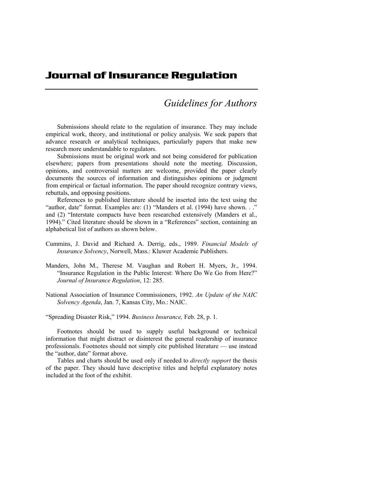## Journal of Insurance Regulation

## *Guidelines for Authors*

Submissions should relate to the regulation of insurance. They may include empirical work, theory, and institutional or policy analysis. We seek papers that advance research or analytical techniques, particularly papers that make new research more understandable to regulators.

Submissions must be original work and not being considered for publication elsewhere; papers from presentations should note the meeting. Discussion, opinions, and controversial matters are welcome, provided the paper clearly documents the sources of information and distinguishes opinions or judgment from empirical or factual information. The paper should recognize contrary views, rebuttals, and opposing positions.

References to published literature should be inserted into the text using the "author, date" format. Examples are: (1) "Manders et al. (1994) have shown. . ." and (2) "Interstate compacts have been researched extensively (Manders et al., 1994)." Cited literature should be shown in a "References" section, containing an alphabetical list of authors as shown below.

- Cummins, J. David and Richard A. Derrig, eds., 1989. *Financial Models of Insurance Solvency*, Norwell, Mass.: Kluwer Academic Publishers.
- Manders, John M., Therese M. Vaughan and Robert H. Myers, Jr., 1994. "Insurance Regulation in the Public Interest: Where Do We Go from Here?" *Journal of Insurance Regulation*, 12: 285.
- National Association of Insurance Commissioners, 1992. *An Update of the NAIC Solvency Agenda*, Jan. 7, Kansas City, Mo.: NAIC.

"Spreading Disaster Risk," 1994. *Business Insurance,* Feb. 28, p. 1.

Footnotes should be used to supply useful background or technical information that might distract or disinterest the general readership of insurance professionals. Footnotes should not simply cite published literature — use instead the "author, date" format above.

Tables and charts should be used only if needed to *directly support* the thesis of the paper. They should have descriptive titles and helpful explanatory notes included at the foot of the exhibit.